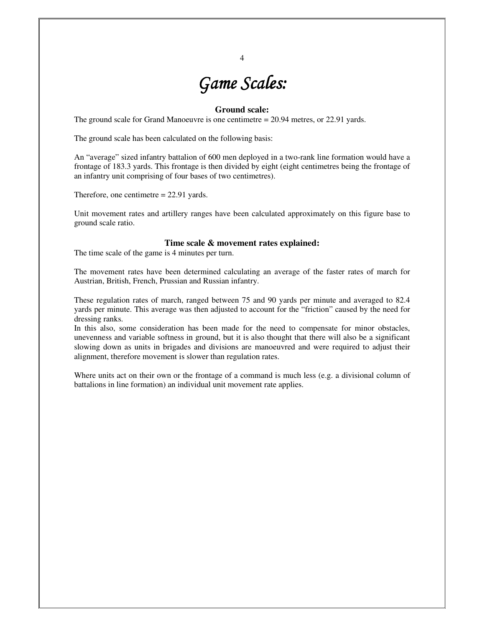# *Game Scales: Game Scales:*

4

## **Ground scale:**

The ground scale for Grand Manoeuvre is one centimetre = 20.94 metres, or 22.91 yards.

The ground scale has been calculated on the following basis:

An "average" sized infantry battalion of 600 men deployed in a two-rank line formation would have a frontage of 183.3 yards. This frontage is then divided by eight (eight centimetres being the frontage of an infantry unit comprising of four bases of two centimetres).

Therefore, one centimetre = 22.91 yards.

Unit movement rates and artillery ranges have been calculated approximately on this figure base to ground scale ratio.

#### **Time scale & movement rates explained:**

The time scale of the game is 4 minutes per turn.

The movement rates have been determined calculating an average of the faster rates of march for Austrian, British, French, Prussian and Russian infantry.

These regulation rates of march, ranged between 75 and 90 yards per minute and averaged to 82.4 yards per minute. This average was then adjusted to account for the "friction" caused by the need for dressing ranks.

In this also, some consideration has been made for the need to compensate for minor obstacles, unevenness and variable softness in ground, but it is also thought that there will also be a significant slowing down as units in brigades and divisions are manoeuvred and were required to adjust their alignment, therefore movement is slower than regulation rates.

Where units act on their own or the frontage of a command is much less (e.g. a divisional column of battalions in line formation) an individual unit movement rate applies.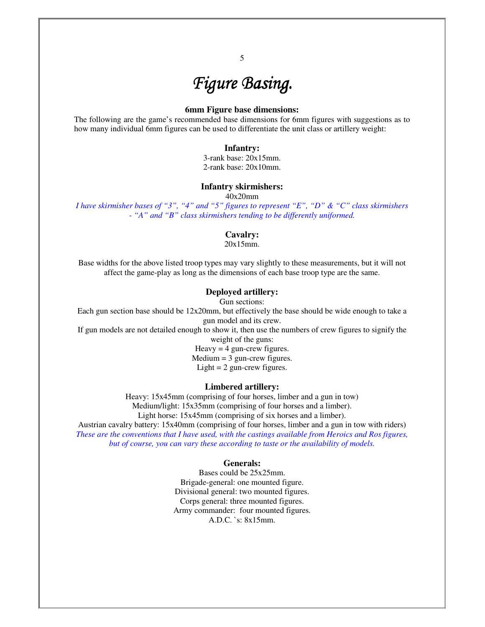## $Figure$  **Basing.**

## **6mm Figure base dimensions:**

The following are the game's recommended base dimensions for 6mm figures with suggestions as to how many individual 6mm figures can be used to differentiate the unit class or artillery weight:

### **Infantry:**

3-rank base: 20x15mm. 2-rank base: 20x10mm.

## **Infantry skirmishers:**

40x20mm

*I have skirmisher bases of "3", "4" and "5" figures to represent "E", "D" & "C" class skirmishers - "A" and "B" class skirmishers tending to be differently uniformed.* 

#### **Cavalry:**

20x15mm.

Base widths for the above listed troop types may vary slightly to these measurements, but it will not affect the game-play as long as the dimensions of each base troop type are the same.

## **Deployed artillery:**

Gun sections:

Each gun section base should be 12x20mm, but effectively the base should be wide enough to take a gun model and its crew.

If gun models are not detailed enough to show it, then use the numbers of crew figures to signify the

weight of the guns:

Heavy  $=$  4 gun-crew figures.  $Median = 3$  gun-crew figures. Light  $= 2$  gun-crew figures.

## **Limbered artillery:**

Heavy: 15x45mm (comprising of four horses, limber and a gun in tow) Medium/light: 15x35mm (comprising of four horses and a limber). Light horse: 15x45mm (comprising of six horses and a limber).

Austrian cavalry battery: 15x40mm (comprising of four horses, limber and a gun in tow with riders) *These are the conventions that I have used, with the castings available from Heroics and Ros figures, but of course, you can vary these according to taste or the availability of models.* 

#### **Generals:**

Bases could be 25x25mm. Brigade-general: one mounted figure. Divisional general: two mounted figures. Corps general: three mounted figures. Army commander: four mounted figures. A.D.C. `s: 8x15mm.

5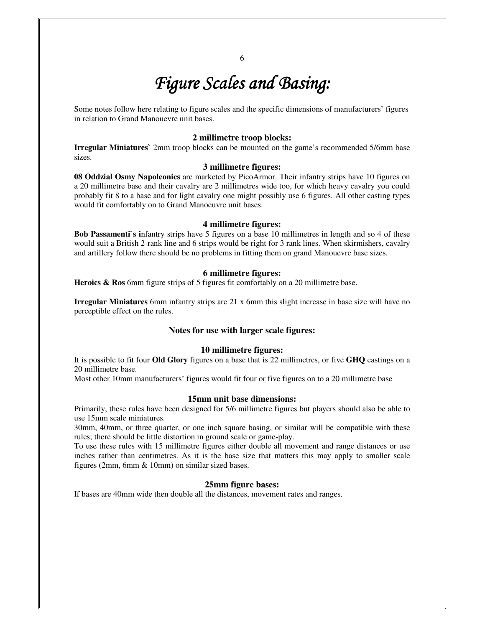# *Figure Scales and Basing:*

Some notes follow here relating to figure scales and the specific dimensions of manufacturers' figures in relation to Grand Manouevre unit bases.

## **2 millimetre troop blocks:**

**Irregular Miniatures`** 2mm troop blocks can be mounted on the game's recommended 5/6mm base sizes.

## **3 millimetre figures:**

**08 Oddzial Osmy Napoleonics** are marketed by PicoArmor. Their infantry strips have 10 figures on a 20 millimetre base and their cavalry are 2 millimetres wide too, for which heavy cavalry you could probably fit 8 to a base and for light cavalry one might possibly use 6 figures. All other casting types would fit comfortably on to Grand Manoeuvre unit bases.

#### **4 millimetre figures:**

**Bob Passamenti`s i**nfantry strips have 5 figures on a base 10 millimetres in length and so 4 of these would suit a British 2-rank line and 6 strips would be right for 3 rank lines. When skirmishers, cavalry and artillery follow there should be no problems in fitting them on grand Manouevre base sizes.

#### **6 millimetre figures:**

Heroics & Ros 6mm figure strips of 5 figures fit comfortably on a 20 millimetre base.

**Irregular Miniatures** 6mm infantry strips are 21 x 6mm this slight increase in base size will have no perceptible effect on the rules.

#### **Notes for use with larger scale figures:**

#### **10 millimetre figures:**

It is possible to fit four **Old Glory** figures on a base that is 22 millimetres, or five **GHQ** castings on a 20 millimetre base.

Most other 10mm manufacturers' figures would fit four or five figures on to a 20 millimetre base

#### **15mm unit base dimensions:**

Primarily, these rules have been designed for 5/6 millimetre figures but players should also be able to use 15mm scale miniatures.

30mm, 40mm, or three quarter, or one inch square basing, or similar will be compatible with these rules; there should be little distortion in ground scale or game-play.

To use these rules with 15 millimetre figures either double all movement and range distances or use inches rather than centimetres. As it is the base size that matters this may apply to smaller scale figures (2mm, 6mm & 10mm) on similar sized bases.

#### **25mm figure bases:**

If bases are 40mm wide then double all the distances, movement rates and ranges.

6